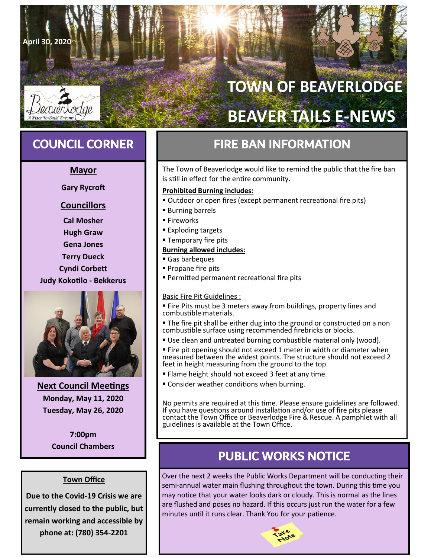# **TOWN OF BEAVERLODGE BEAVER TAILS E-NEWS**

**April 30, 2020**

# **Mayor**

**Gary Rycroft**

# **Councillors**

**Cal Mosher Hugh Graw Gena Jones Terry Dueck Cyndi Corbett Judy Kokotilo - Bekkerus**



**Next Council Meetings Monday, May 11, 2020 Tuesday, May 26, 2020**

> **7:00pm Council Chambers**

# **Town Office**

**Due to the Covid-19 Crisis we are currently closed to the public, but remain working and accessible by phone at: (780) 354-2201**

# **COUNCIL CORNER FIRE BAN INFORMATION**

The Town of Beaverlodge would like to remind the public that the fire ban is still in effect for the entire community.

# **Prohibited Burning includes:**

- Outdoor or open fires (except permanent recreational fire pits)
- **Burning barrels**
- Fireworks
- Exploding targets
- **Temporary fire pits**

# **Burning allowed includes:**

- Gas barbeques
- Propane fire pits
- Permitted permanent recreational fire pits

# Basic Fire Pit Guidelines :

- Fire Pits must be 3 meters away from buildings, property lines and combustible materials.
- The fire pit shall be either dug into the ground or constructed on a non combustible surface using recommended firebricks or blocks.
- Use clean and untreated burning combustible material only (wood).
- **Example 1** Fire pit opening should not exceed 1 meter in width or diameter when measured between the widest points. The structure should not exceed 2 feet in height measuring from the ground to the top.
- **Examed height should not exceed 3 feet at any time.**
- **EX Consider weather conditions when burning.**

No permits are required at this time. Please ensure guidelines are followed. If you have questions around installation and/or use of fire pits please contact the Town Office or Beaverlodge Fire & Rescue. A pamphlet with all guidelines is available at the Town Office.

# PUBLIC WORKS NOTICE

Over the next 2 weeks the Public Works Department will be conducting their semi-annual water main flushing throughout the town. During this time you may notice that your water looks dark or cloudy. This is normal as the lines are flushed and poses no hazard. If this occurs just run the water for a few minutes until it runs clear. Thank You for your patience.